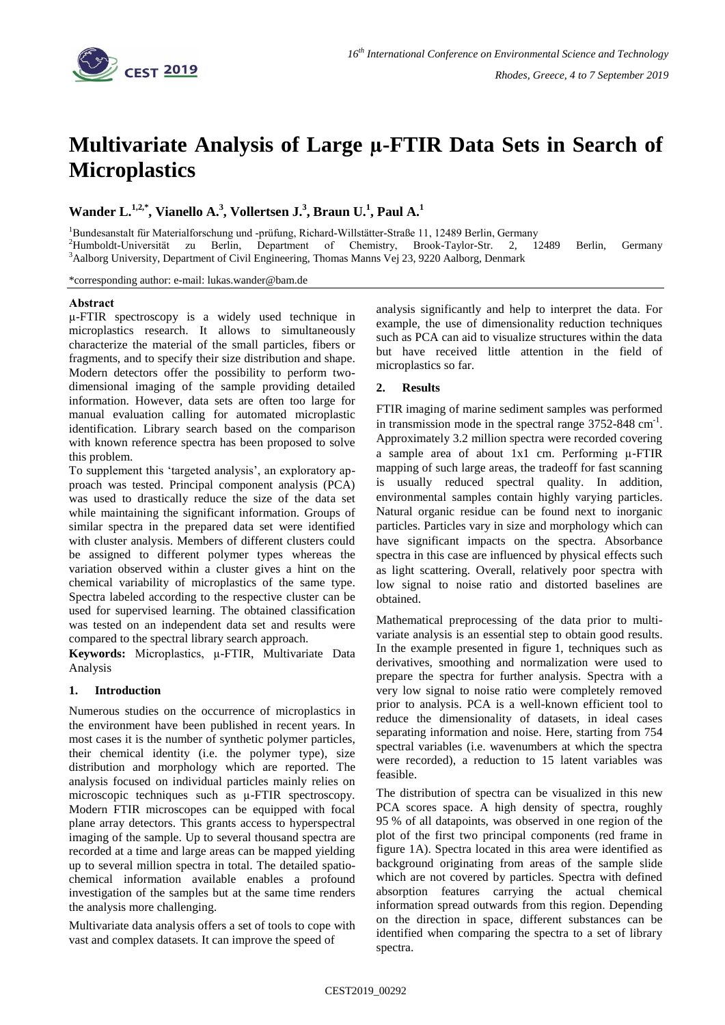

# **Multivariate Analysis of Large µ-FTIR Data Sets in Search of Microplastics**

# Wander L.<sup>1,2,\*</sup>, Vianello A.<sup>3</sup>, Vollertsen J.<sup>3</sup>, Braun U.<sup>1</sup>, Paul A.<sup>1</sup>

<sup>1</sup>Bundesanstalt für Materialforschung und -prüfung, Richard-Willstätter-Straße 11, 12489 Berlin, Germany <sup>2</sup>Humboldt-Universität zu Berlin, Department of Chemistry, Brook-Taylor-Str. 2, 12489 Berlin, Germany <sup>3</sup>Aalborg University, Department of Civil Engineering, Thomas Manns Vej 23, 9220 Aalborg, Denmark

\*corresponding author: e-mail: lukas.wander@bam.de

# **Abstract**

µ-FTIR spectroscopy is a widely used technique in microplastics research. It allows to simultaneously characterize the material of the small particles, fibers or fragments, and to specify their size distribution and shape. Modern detectors offer the possibility to perform twodimensional imaging of the sample providing detailed information. However, data sets are often too large for manual evaluation calling for automated microplastic identification. Library search based on the comparison with known reference spectra has been proposed to solve this problem.

To supplement this 'targeted analysis', an exploratory approach was tested. Principal component analysis (PCA) was used to drastically reduce the size of the data set while maintaining the significant information. Groups of similar spectra in the prepared data set were identified with cluster analysis. Members of different clusters could be assigned to different polymer types whereas the variation observed within a cluster gives a hint on the chemical variability of microplastics of the same type. Spectra labeled according to the respective cluster can be used for supervised learning. The obtained classification was tested on an independent data set and results were compared to the spectral library search approach.

**Keywords:** Microplastics, µ-FTIR, Multivariate Data Analysis

# **1. Introduction**

Numerous studies on the occurrence of microplastics in the environment have been published in recent years. In most cases it is the number of synthetic polymer particles, their chemical identity (i.e. the polymer type), size distribution and morphology which are reported. The analysis focused on individual particles mainly relies on microscopic techniques such as  $\mu$ -FTIR spectroscopy. Modern FTIR microscopes can be equipped with focal plane array detectors. This grants access to hyperspectral imaging of the sample. Up to several thousand spectra are recorded at a time and large areas can be mapped yielding up to several million spectra in total. The detailed spatiochemical information available enables a profound investigation of the samples but at the same time renders the analysis more challenging.

Multivariate data analysis offers a set of tools to cope with vast and complex datasets. It can improve the speed of

analysis significantly and help to interpret the data. For example, the use of dimensionality reduction techniques such as PCA can aid to visualize structures within the data but have received little attention in the field of microplastics so far.

# **2. Results**

FTIR imaging of marine sediment samples was performed in transmission mode in the spectral range  $3752-848$  cm<sup>-1</sup>. Approximately 3.2 million spectra were recorded covering a sample area of about  $1x1$  cm. Performing  $\mu$ -FTIR mapping of such large areas, the tradeoff for fast scanning is usually reduced spectral quality. In addition, environmental samples contain highly varying particles. Natural organic residue can be found next to inorganic particles. Particles vary in size and morphology which can have significant impacts on the spectra. Absorbance spectra in this case are influenced by physical effects such as light scattering. Overall, relatively poor spectra with low signal to noise ratio and distorted baselines are obtained.

Mathematical preprocessing of the data prior to multivariate analysis is an essential step to obtain good results. In the example presented in figure 1, techniques such as derivatives, smoothing and normalization were used to prepare the spectra for further analysis. Spectra with a very low signal to noise ratio were completely removed prior to analysis. PCA is a well-known efficient tool to reduce the dimensionality of datasets, in ideal cases separating information and noise. Here, starting from 754 spectral variables (i.e. wavenumbers at which the spectra were recorded), a reduction to 15 latent variables was feasible.

The distribution of spectra can be visualized in this new PCA scores space. A high density of spectra, roughly 95 % of all datapoints, was observed in one region of the plot of the first two principal components (red frame in figure 1A). Spectra located in this area were identified as background originating from areas of the sample slide which are not covered by particles. Spectra with defined absorption features carrying the actual chemical information spread outwards from this region. Depending on the direction in space, different substances can be identified when comparing the spectra to a set of library spectra.